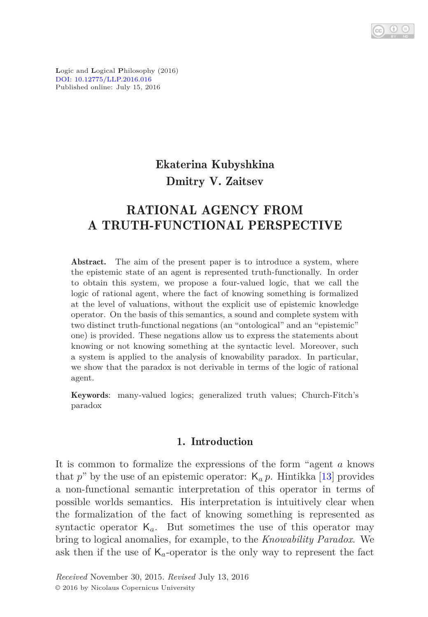**L**ogic and **L**ogical **P**hilosophy (2016) [DOI: 10.12775/LLP.2016.016](http://dx.doi.org/10.12775/LLP.2016.016) Published online: July 15, 2016

# Ekaterina Kubyshkina Dmitry V. Zaitsev

# RATIONAL AGENCY FROM A TRUTH-FUNCTIONAL PERSPECTIVE

Abstract. The aim of the present paper is to introduce a system, where the epistemic state of an agent is represented truth-functionally. In order to obtain this system, we propose a four-valued logic, that we call the logic of rational agent, where the fact of knowing something is formalized at the level of valuations, without the explicit use of epistemic knowledge operator. On the basis of this semantics, a sound and complete system with two distinct truth-functional negations (an "ontological" and an "epistemic" one) is provided. These negations allow us to express the statements about knowing or not knowing something at the syntactic level. Moreover, such a system is applied to the analysis of knowability paradox. In particular, we show that the paradox is not derivable in terms of the logic of rational agent.

Keywords: many-valued logics; generalized truth values; Church-Fitch's paradox

## 1. Introduction

It is common to formalize the expressions of the form "agent *a* knows that  $p^{\prime\prime}$  by the use of an epistemic operator:  $K_a p$ . Hintikka [\[13\]](#page-19-0) provides a non-functional semantic interpretation of this operator in terms of possible worlds semantics. His interpretation is intuitively clear when the formalization of the fact of knowing something is represented as syntactic operator K*a*. But sometimes the use of this operator may bring to logical anomalies, for example, to the *Knowability Paradox*. We ask then if the use of  $K_a$ -operator is the only way to represent the fact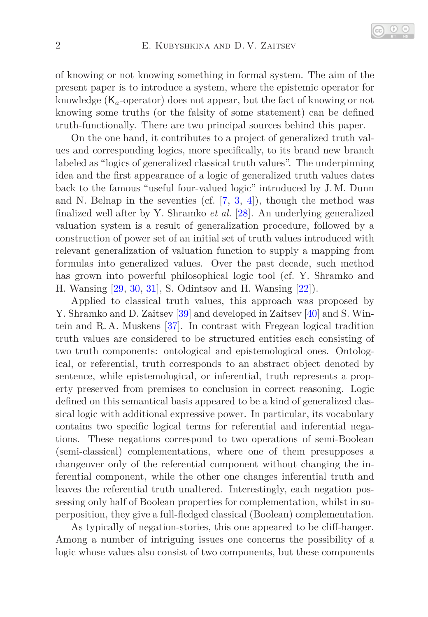of knowing or not knowing something in formal system. The aim of the present paper is to introduce a system, where the epistemic operator for knowledge (K*a*-operator) does not appear, but the fact of knowing or not knowing some truths (or the falsity of some statement) can be defined truth-functionally. There are two principal sources behind this paper.

On the one hand, it contributes to a project of generalized truth values and corresponding logics, more specifically, to its brand new branch labeled as "logics of generalized classical truth values". The underpinning idea and the first appearance of a logic of generalized truth values dates back to the famous "useful four-valued logic" introduced by J. M. Dunn and N. Belnap in the seventies (cf.  $[7, 3, 4]$  $[7, 3, 4]$  $[7, 3, 4]$  $[7, 3, 4]$ ), though the method was finalized well after by Y. Shramko *et al.* [\[28\]](#page-20-0). An underlying generalized valuation system is a result of generalization procedure, followed by a construction of power set of an initial set of truth values introduced with relevant generalization of valuation function to supply a mapping from formulas into generalized values. Over the past decade, such method has grown into powerful philosophical logic tool (cf. Y. Shramko and H. Wansing [\[29,](#page-20-1) [30,](#page-20-2) [31\]](#page-20-3), S. Odintsov and H. Wansing [\[22\]](#page-20-4)).

Applied to classical truth values, this approach was proposed by Y. Shramko and D. Zaitsev [\[39\]](#page-21-0) and developed in Zaitsev [\[40\]](#page-21-1) and S. Wintein and R. A. Muskens [\[37\]](#page-20-5). In contrast with Fregean logical tradition truth values are considered to be structured entities each consisting of two truth components: ontological and epistemological ones. Ontological, or referential, truth corresponds to an abstract object denoted by sentence, while epistemological, or inferential, truth represents a property preserved from premises to conclusion in correct reasoning. Logic defined on this semantical basis appeared to be a kind of generalized classical logic with additional expressive power. In particular, its vocabulary contains two specific logical terms for referential and inferential negations. These negations correspond to two operations of semi-Boolean (semi-classical) complementations, where one of them presupposes a changeover only of the referential component without changing the inferential component, while the other one changes inferential truth and leaves the referential truth unaltered. Interestingly, each negation possessing only half of Boolean properties for complementation, whilst in superposition, they give a full-fledged classical (Boolean) complementation.

As typically of negation-stories, this one appeared to be cliff-hanger. Among a number of intriguing issues one concerns the possibility of a logic whose values also consist of two components, but these components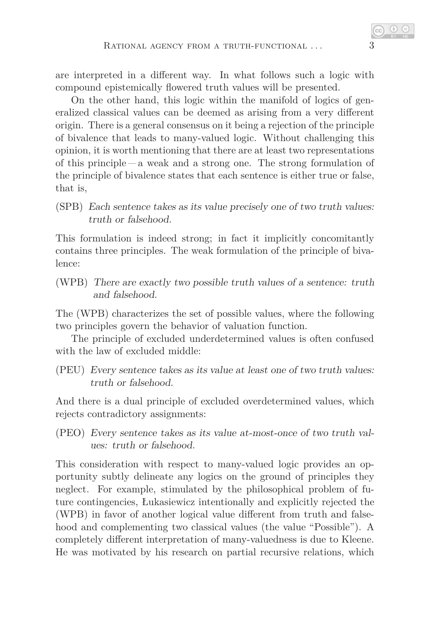are interpreted in a different way. In what follows such a logic with compound epistemically flowered truth values will be presented.

On the other hand, this logic within the manifold of logics of generalized classical values can be deemed as arising from a very different origin. There is a general consensus on it being a rejection of the principle of bivalence that leads to many-valued logic. Without challenging this opinion, it is worth mentioning that there are at least two representations of this principle  $-a$  weak and a strong one. The strong formulation of the principle of bivalence states that each sentence is either true or false, that is,

(SPB) Each sentence takes as its value precisely one of two truth values: truth or falsehood.

This formulation is indeed strong; in fact it implicitly concomitantly contains three principles. The weak formulation of the principle of bivalence:

(WPB) There are exactly two possible truth values of a sentence: truth and falsehood.

The (WPB) characterizes the set of possible values, where the following two principles govern the behavior of valuation function.

The principle of excluded underdetermined values is often confused with the law of excluded middle:

(PEU) Every sentence takes as its value at least one of two truth values: truth or falsehood.

And there is a dual principle of excluded overdetermined values, which rejects contradictory assignments:

(PEO) Every sentence takes as its value at-most-once of two truth values: truth or falsehood.

This consideration with respect to many-valued logic provides an opportunity subtly delineate any logics on the ground of principles they neglect. For example, stimulated by the philosophical problem of future contingencies, Łukasiewicz intentionally and explicitly rejected the (WPB) in favor of another logical value different from truth and falsehood and complementing two classical values (the value "Possible"). A completely different interpretation of many-valuedness is due to Kleene. He was motivated by his research on partial recursive relations, which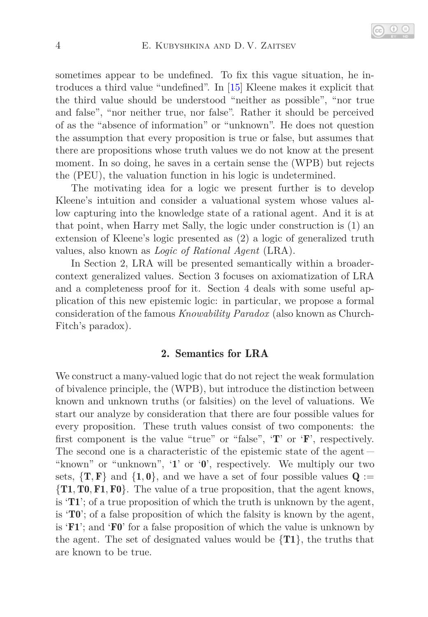sometimes appear to be undefined. To fix this vague situation, he introduces a third value "undefined". In [\[15\]](#page-19-2) Kleene makes it explicit that the third value should be understood "neither as possible", "nor true and false", "nor neither true, nor false". Rather it should be perceived of as the "absence of information" or "unknown". He does not question the assumption that every proposition is true or false, but assumes that there are propositions whose truth values we do not know at the present moment. In so doing, he saves in a certain sense the (WPB) but rejects the (PEU), the valuation function in his logic is undetermined.

The motivating idea for a logic we present further is to develop Kleene's intuition and consider a valuational system whose values allow capturing into the knowledge state of a rational agent. And it is at that point, when Harry met Sally, the logic under construction is (1) an extension of Kleene's logic presented as (2) a logic of generalized truth values, also known as *Logic of Rational Agent* (LRA).

<span id="page-3-0"></span>In Section 2, LRA will be presented semantically within a broadercontext generalized values. Section 3 focuses on axiomatization of LRA and a completeness proof for it. Section 4 deals with some useful application of this new epistemic logic: in particular, we propose a formal consideration of the famous *Knowability Paradox* (also known as Church-Fitch's paradox).

## 2. Semantics for LRA

We construct a many-valued logic that do not reject the weak formulation of bivalence principle, the (WPB), but introduce the distinction between known and unknown truths (or falsities) on the level of valuations. We start our analyze by consideration that there are four possible values for every proposition. These truth values consist of two components: the first component is the value "true" or "false", 'T' or 'F', respectively. The second one is a characteristic of the epistemic state of the agent – "known" or "unknown", '1' or '0', respectively. We multiply our two sets,  $\{T, F\}$  and  $\{1, 0\}$ , and we have a set of four possible values  $Q :=$ {T1*,*T0*,* F1*,* F0}. The value of a true proposition, that the agent knows, is 'T1'; of a true proposition of which the truth is unknown by the agent, is  $\mathbf{T0}$ ; of a false proposition of which the falsity is known by the agent, is  $\mathbf{F1'}$ ; and  $\mathbf{F0'}$  for a false proposition of which the value is unknown by the agent. The set of designated values would be  $\{T1\}$ , the truths that are known to be true.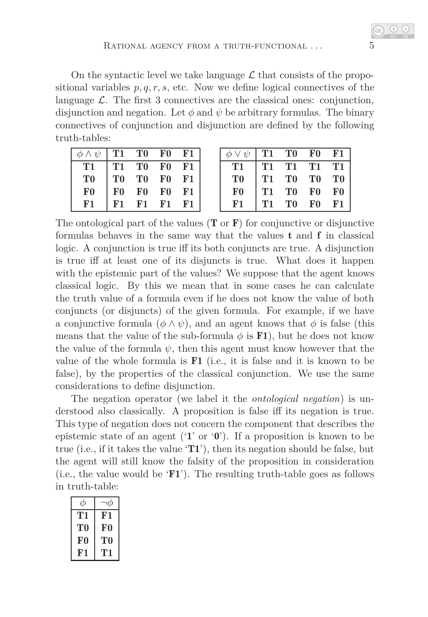On the syntactic level we take language  $\mathcal L$  that consists of the propositional variables  $p, q, r, s$ , etc. Now we define logical connectives of the language  $\mathcal{L}$ . The first 3 connectives are the classical ones: conjunction, disjunction and negation. Let  $\phi$  and  $\psi$  be arbitrary formulas. The binary connectives of conjunction and disjunction are defined by the following truth-tables:

| $\setminus \eta$ | T1        | $\bf{T0}$      | FΩ         |    |
|------------------|-----------|----------------|------------|----|
| T1               | <b>T1</b> | T <sub>0</sub> | F0         | F1 |
| T0               | $\bf{T0}$ | T <sub>0</sub> | ${\bf F0}$ | F1 |
| ${\bf F0}$       | F0        | ${\bf F0}$     | ${\bf F0}$ | F1 |
| F1               | F1        | F1             | F1         | ŀ۱ |

| $\psi$    | T1 | $\bf{T0}$      | ${\bf F0}$     | F1             |
|-----------|----|----------------|----------------|----------------|
| <b>T1</b> | T1 | T1             | T1             | $\bf T1$       |
| ТO        | T1 | $\bf{T0}$      | T <sub>0</sub> | T <sub>0</sub> |
| F0        | T1 | T <sub>0</sub> | F <sub>0</sub> | ${\bf F0}$     |
| F1        | T1 | T0             | F0             | F1             |

The ontological part of the values  $(T \text{ or } F)$  for conjunctive or disjunctive formulas behaves in the same way that the values t and f in classical logic. A conjunction is true iff its both conjuncts are true. A disjunction is true iff at least one of its disjuncts is true. What does it happen with the epistemic part of the values? We suppose that the agent knows classical logic. By this we mean that in some cases he can calculate the truth value of a formula even if he does not know the value of both conjuncts (or disjuncts) of the given formula. For example, if we have a conjunctive formula  $(\phi \land \psi)$ , and an agent knows that  $\phi$  is false (this means that the value of the sub-formula  $\phi$  is **F1**), but he does not know the value of the formula  $\psi$ , then this agent must know however that the value of the whole formula is  **(i.e., it is false and it is known to be** false), by the properties of the classical conjunction. We use the same considerations to define disjunction.

The negation operator (we label it the *ontological negation*) is understood also classically. A proposition is false iff its negation is true. This type of negation does not concern the component that describes the epistemic state of an agent ('1' or '0'). If a proposition is known to be true (i.e., if it takes the value 'T1'), then its negation should be false, but the agent will still know the falsity of the proposition in consideration (i.e., the value would be  $'F1'$ ). The resulting truth-table goes as follows in truth-table:

| T  | F1         |
|----|------------|
| T0 | ${\bf F0}$ |
| F0 | ТO         |
| FJ |            |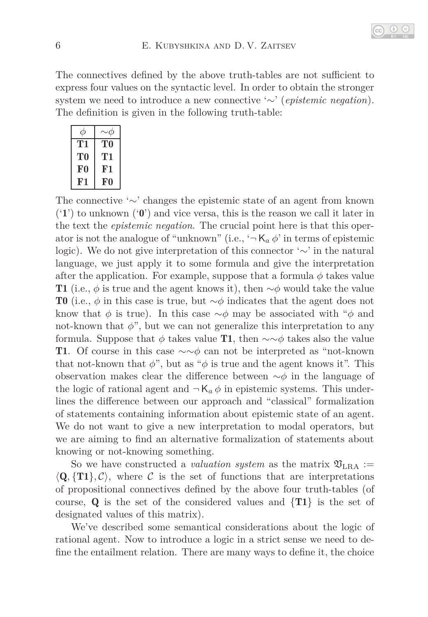The connectives defined by the above truth-tables are not sufficient to express four values on the syntactic level. In order to obtain the stronger system we need to introduce a new connective '∼' (*epistemic negation*). The definition is given in the following truth-table:

| T1 | T0             |
|----|----------------|
| T0 | TI             |
| F0 | F <sub>1</sub> |
| F1 | F0             |

The connective '∼' changes the epistemic state of an agent from known  $(1')$  to unknown  $(0')$  and vice versa, this is the reason we call it later in the text the *epistemic negation*. The crucial point here is that this operator is not the analogue of "unknown" (i.e.,  $-\mathsf{K}_a \phi$ " in terms of epistemic logic). We do not give interpretation of this connector '∼' in the natural language, we just apply it to some formula and give the interpretation after the application. For example, suppose that a formula  $\phi$  takes value T1 (i.e.,  $\phi$  is true and the agent knows it), then ∼ $\phi$  would take the value T0 (i.e., *φ* in this case is true, but ∼*φ* indicates that the agent does not know that  $\phi$  is true). In this case  $\sim \phi$  may be associated with " $\phi$  and not-known that  $\phi$ ", but we can not generalize this interpretation to any formula. Suppose that  $\phi$  takes value **T1**, then  $\sim \phi$  takes also the value T1. Of course in this case ∼∼*φ* can not be interpreted as "not-known that not-known that  $\phi$ ", but as " $\phi$  is true and the agent knows it". This observation makes clear the difference between ∼*φ* in the language of the logic of rational agent and  $\neg K_a \phi$  in epistemic systems. This underlines the difference between our approach and "classical" formalization of statements containing information about epistemic state of an agent. We do not want to give a new interpretation to modal operators, but we are aiming to find an alternative formalization of statements about knowing or not-knowing something.

So we have constructed a *valuation system* as the matrix  $\mathfrak{V}_{\text{LRA}}$  :=  $\langle \mathbf{Q}, \{\mathbf{T1}\}, \mathcal{C} \rangle$ , where C is the set of functions that are interpretations of propositional connectives defined by the above four truth-tables (of course, Q is the set of the considered values and  $\{T1\}$  is the set of designated values of this matrix).

We've described some semantical considerations about the logic of rational agent. Now to introduce a logic in a strict sense we need to define the entailment relation. There are many ways to define it, the choice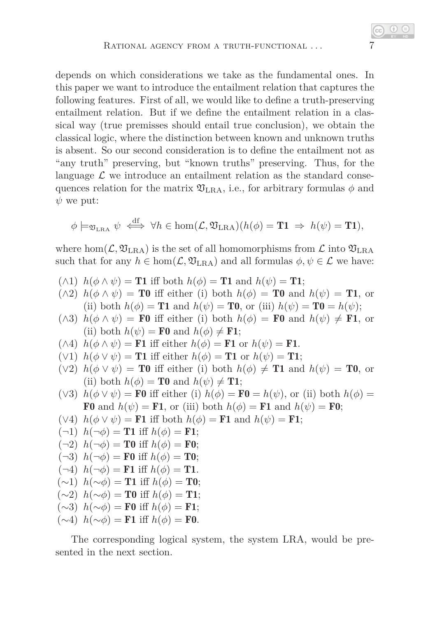depends on which considerations we take as the fundamental ones. In this paper we want to introduce the entailment relation that captures the following features. First of all, we would like to define a truth-preserving entailment relation. But if we define the entailment relation in a classical way (true premisses should entail true conclusion), we obtain the classical logic, where the distinction between known and unknown truths is absent. So our second consideration is to define the entailment not as "any truth" preserving, but "known truths" preserving. Thus, for the language  $\mathcal L$  we introduce an entailment relation as the standard consequences relation for the matrix  $\mathfrak{V}_{\text{LRA}}$ , i.e., for arbitrary formulas  $\phi$  and  $\psi$  we put:

$$
\phi \models_{\mathfrak{V}_{\text{LRA}}} \psi \iff \forall h \in \text{hom}(\mathcal{L}, \mathfrak{V}_{\text{LRA}})(h(\phi) = \mathbf{T1} \Rightarrow h(\psi) = \mathbf{T1}),
$$

where hom $(\mathcal{L}, \mathfrak{V}_{\text{LRA}})$  is the set of all homomorphisms from  $\mathcal{L}$  into  $\mathfrak{V}_{\text{LRA}}$ such that for any  $h \in \text{hom}(\mathcal{L}, \mathfrak{V}_{\text{LRA}})$  and all formulas  $\phi, \psi \in \mathcal{L}$  we have:

- $(\wedge 1)$   $h(\phi \wedge \psi) =$  **T1** iff both  $h(\phi) =$  **T1** and  $h(\psi) =$  **T1**;
- $(\wedge 2)$   $h(\phi \wedge \psi) = \textbf{T0}$  iff either (i) both  $h(\phi) = \textbf{T0}$  and  $h(\psi) = \textbf{T1}$ , or (ii) both  $h(\phi) = \textbf{T1}$  and  $h(\psi) = \textbf{T0}$ , or (iii)  $h(\psi) = \textbf{T0} = h(\psi)$ ;
- $(\wedge 3)$   $h(\phi \wedge \psi) = \mathbf{F0}$  iff either (i) both  $h(\phi) = \mathbf{F0}$  and  $h(\psi) \neq \mathbf{F1}$ , or (ii) both  $h(\psi) = \mathbf{F0}$  and  $h(\phi) \neq \mathbf{F1}$ ;
- $(\wedge 4)$   $h(\phi \wedge \psi) = \mathbf{F1}$  iff either  $h(\phi) = \mathbf{F1}$  or  $h(\psi) = \mathbf{F1}$ .
- $(\forall 1)$   $h(\phi \vee \psi) =$  **T1** iff either  $h(\phi) =$  **T1** or  $h(\psi) =$  **T1**;
- $(\forall 2)$   $h(\phi \lor \psi) = \textbf{T0}$  iff either (i) both  $h(\phi) \neq \textbf{T1}$  and  $h(\psi) = \textbf{T0}$ , or (ii) both  $h(\phi) = \mathbf{T0}$  and  $h(\psi) \neq \mathbf{T1}$ ;
- (∨3)  $h(\phi \vee \psi) = \mathbf{F0}$  iff either (i)  $h(\phi) = \mathbf{F0} = h(\psi)$ , or (ii) both  $h(\phi) =$ F0 and  $h(\psi) =$  F1, or (iii) both  $h(\phi) =$  F1 and  $h(\psi) =$  F0;
- $(\forall 4)$   $h(\phi \lor \psi) = \mathbf{F1}$  iff both  $h(\phi) = \mathbf{F1}$  and  $h(\psi) = \mathbf{F1}$ ;
- $(-1)$   $h(\neg \phi) =$  **T1** iff  $h(\phi) =$  **F1**;
- $(-2)$   $h(\neg \phi) = \textbf{T0}$  iff  $h(\phi) = \textbf{F0}$ ;
- $(-3)$   $h(\neg \phi) = \mathbf{F0}$  iff  $h(\phi) = \mathbf{T0}$ ;
- $(-4)$   $h(\neg \phi) = \textbf{F1}$  iff  $h(\phi) = \textbf{T1}$ .
- (∼1) *h*(∼*φ*) = T1 iff *h*(*φ*) = T0;
- (∼2) *h*(∼*φ*) = T0 iff *h*(*φ*) = T1;
- (∼3) *h*(∼*φ*) = F0 iff *h*(*φ*) = F1;
- $(∼4)$  *h*(∼ $\phi$ ) = **F1** iff *h*( $\phi$ ) = **F0**.

The corresponding logical system, the system LRA, would be presented in the next section.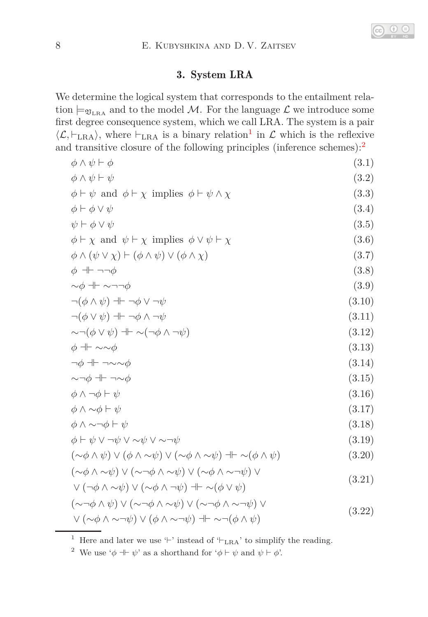## <span id="page-7-21"></span><span id="page-7-20"></span><span id="page-7-19"></span><span id="page-7-18"></span><span id="page-7-17"></span><span id="page-7-15"></span><span id="page-7-13"></span><span id="page-7-9"></span><span id="page-7-6"></span><span id="page-7-5"></span><span id="page-7-2"></span>3. System LRA

We determine the logical system that corresponds to the entailment relation  $\models_{\mathfrak{V}_{LRA}}$  and to the model M. For the language  $\mathcal L$  we introduce some first degree consequence system, which we call LRA. The system is a pair  $\langle L, \vdash_{\text{LRA}} \rangle$ , where  $\vdash_{\text{LRA}}$  is a binary relation<sup>[1](#page-7-0)</sup> in  $\mathcal L$  which is the reflexive and transitive closure of the following principles (inference schemes):[2](#page-7-1)

$$
\begin{array}{ll}\n\phi \land \psi \vdash \phi & (3.1) \\
\phi \land \psi \vdash \psi & (3.2) \\
\phi \vdash \psi \text{ and } \phi \vdash \chi \text{ implies } \phi \vdash \psi \land \chi & (3.3) \\
\phi \vdash \phi \lor \psi & (3.3) \\
\phi \vdash \chi \text{ and } \psi \vdash \chi \text{ implies } \phi \lor \psi \vdash \chi & (3.6) \\
\phi \land (\psi \lor \chi) \vdash (\phi \land \psi) \lor (\phi \land \chi) & (3.7) \\
\phi \dashv \vdash \neg \neg \phi & (3.8) \\
\neg (\phi \land \psi) \dashv \vdash \neg \phi \lor \neg \psi & (3.9) \\
\neg (\phi \land \psi) \dashv \vdash \neg \phi \lor \neg \psi & (3.10) \\
\neg (\phi \lor \psi) \dashv \vdash \neg \phi \land \neg \psi & (3.11) \\
\sim \neg (\phi \lor \psi) \dashv \vdash \neg \phi \land \neg \psi & (3.12) \\
\phi \dashv \vdash \sim \sim \phi & (3.13) \\
\phi \dashv \vdash \neg \sim \sim \phi & (3.14) \\
\sim \neg \phi \dashv \vdash \neg \sim \phi & (3.15) \\
\phi \land \neg \phi \vdash \psi & (3.16) \\
\phi \land \sim \phi \vdash \psi & (3.17) \\
\phi \land \sim \neg \phi \vdash \psi & (3.18) \\
\phi \vdash \psi \lor \neg \psi \lor \sim \psi \lor \sim \neg \psi & (3.18) \\
(\sim \phi \land \psi) \lor (\phi \land \sim \psi) \lor (\sim \phi \land \sim \psi) \lor (\sim \phi \land \sim \neg \psi) \lor \\
\lor (\neg \phi \land \sim \psi) \lor (\sim \phi \land \neg \psi) \lor (\sim \phi \land \sim \neg \psi) \lor \\
\lor (\neg \phi \land \land \psi) \lor (\sim \neg \phi \land \sim \psi) \lor (\sim \neg \phi \land \sim \neg \psi) \lor \\
\lor (\sim \phi \land \sim \neg \psi) \lor (\phi \land \sim \neg \psi) \dashv \sim (\neg \phi \land \psi) & (3.22)\n\end{array}
$$

<span id="page-7-16"></span><span id="page-7-14"></span><span id="page-7-12"></span><span id="page-7-11"></span><span id="page-7-10"></span><span id="page-7-8"></span><span id="page-7-7"></span><span id="page-7-4"></span><span id="page-7-3"></span> $^1\,$  Here and later we use '⊢' instead of '⊢ $_{\rm LRA}$  ' to simplify the reading.

<span id="page-7-1"></span><span id="page-7-0"></span><sup>&</sup>lt;sup>2</sup> We use ' $\phi \dashv \vdash \psi$ ' as a shorthand for ' $\phi \vdash \psi$  and  $\psi \vdash \phi'$ '.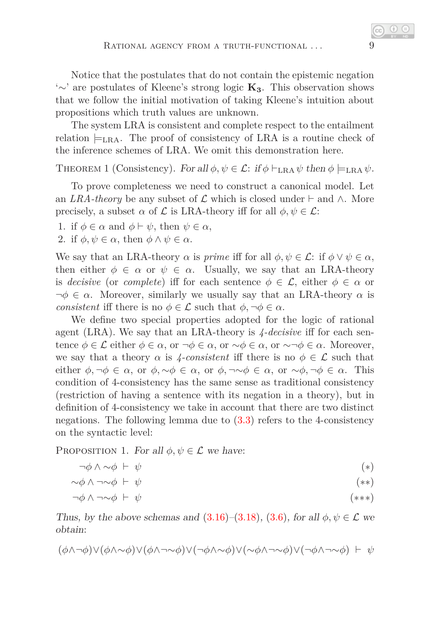Notice that the postulates that do not contain the epistemic negation '∼' are postulates of Kleene's strong logic **K3**. This observation shows that we follow the initial motivation of taking Kleene's intuition about propositions which truth values are unknown.

The system LRA is consistent and complete respect to the entailment relation  $\models_{\text{LRA}}$ . The proof of consistency of LRA is a routine check of the inference schemes of LRA. We omit this demonstration here.

THEOREM 1 (Consistency). For all  $\phi, \psi \in \mathcal{L}$ : if  $\phi \vdash_{\text{LRA}} \psi$  then  $\phi \models_{\text{LRA}} \psi$ .

To prove completeness we need to construct a canonical model. Let an *LRA-theory* be any subset of  $\mathcal L$  which is closed under  $\vdash$  and  $\wedge$ . More precisely, a subset  $\alpha$  of  $\mathcal L$  is LRA-theory iff for all  $\phi, \psi \in \mathcal L$ :

1. if  $\phi \in \alpha$  and  $\phi \vdash \psi$ , then  $\psi \in \alpha$ ,

2. if  $\phi, \psi \in \alpha$ , then  $\phi \wedge \psi \in \alpha$ .

We say that an LRA-theory  $\alpha$  is *prime* iff for all  $\phi, \psi \in \mathcal{L}$ : if  $\phi \vee \psi \in \alpha$ , then either  $\phi \in \alpha$  or  $\psi \in \alpha$ . Usually, we say that an LRA-theory is *decisive* (or *complete*) iff for each sentence  $\phi \in \mathcal{L}$ , either  $\phi \in \alpha$  or  $\neg \phi \in \alpha$ . Moreover, similarly we usually say that an LRA-theory  $\alpha$  is *consistent* iff there is no  $\phi \in \mathcal{L}$  such that  $\phi, \neg \phi \in \alpha$ .

We define two special properties adopted for the logic of rational agent (LRA). We say that an LRA-theory is *4-decisive* iff for each sentence  $\phi \in \mathcal{L}$  either  $\phi \in \alpha$ , or  $\neg \phi \in \alpha$ , or  $\sim \phi \in \alpha$ , or  $\sim \neg \phi \in \alpha$ . Moreover, we say that a theory  $\alpha$  is 4-consistent iff there is no  $\phi \in \mathcal{L}$  such that either  $\phi, \neg \phi \in \alpha$ , or  $\phi, \sim \phi \in \alpha$ , or  $\phi, \neg \sim \phi \in \alpha$ , or  $\sim \phi, \neg \phi \in \alpha$ . This condition of 4-consistency has the same sense as traditional consistency (restriction of having a sentence with its negation in a theory), but in definition of 4-consistency we take in account that there are two distinct negations. The following lemma due to [\(3.3\)](#page-7-2) refers to the 4-consistency on the syntactic level:

<span id="page-8-3"></span>PROPOSITION 1. For all  $\phi, \psi \in \mathcal{L}$  we have:

<span id="page-8-1"></span><span id="page-8-0"></span>
$$
\neg \phi \land \sim \phi \vdash \psi \tag{*}
$$

$$
\sim\!\phi\wedge\lnot\sim\phi\vdash\psi\tag{**}
$$

<span id="page-8-2"></span>
$$
\neg \phi \land \neg \sim \phi \vdash \psi \tag{***}
$$

Thus, by the above schemas and  $(3.16)$ – $(3.18)$ ,  $(3.6)$ , for all  $\phi, \psi \in \mathcal{L}$  we obtain:

$$
(\phi \land \neg \phi) \lor (\phi \land \neg \phi) \lor (\phi \land \neg \sim \phi) \lor (\neg \phi \land \sim \phi) \lor (\sim \phi \land \neg \sim \phi) \lor (\neg \phi \land \neg \sim \phi) \ \vdash\ \psi
$$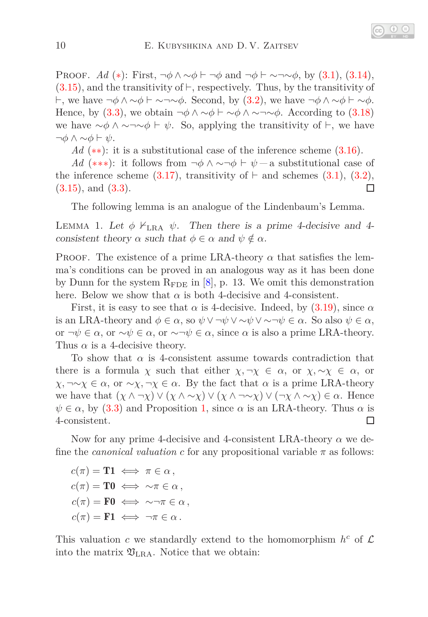PROOF. *Ad* (\*): First,  $\neg \phi \land \neg \phi \vdash \neg \phi$  and  $\neg \phi \vdash \sim \neg \sim \phi$ , by [\(3.1\)](#page-7-6), [\(3.14\)](#page-7-7),  $(3.15)$ , and the transitivity of  $\vdash$ , respectively. Thus, by the transitivity of ⊢, we have ¬*φ* ∧ ∼*φ* ⊢ ∼¬∼*φ*. Second, by [\(3.2\)](#page-7-9), we have ¬*φ* ∧ ∼*φ* ⊢ ∼*φ*. Hence, by [\(3.3\)](#page-7-2), we obtain  $\neg \phi \land \neg \phi \land \neg \neg \neg \phi$ . According to [\(3.18\)](#page-7-4) we have  $\sim \phi \land \sim \sim \phi \vdash \psi$ . So, applying the transitivity of  $\vdash$ , we have ¬*φ* ∧ ∼*φ* ⊢ *ψ*.

*Ad* (\*\*): it is a substitutional case of the inference scheme [\(3.16\)](#page-7-3).

*Ad* (\*\*\*): it follows from  $\neg \phi \land \neg \neg \phi \vdash \psi$  – a substitutional case of the inference scheme  $(3.17)$ , transitivity of  $\vdash$  and schemes  $(3.1)$ ,  $(3.2)$ ,  $(3.15)$ , and  $(3.3)$ .  $\Box$ 

<span id="page-9-0"></span>The following lemma is an analogue of the Lindenbaum's Lemma.

LEMMA 1. Let  $\phi \nvDash_{\text{LRA}} \psi$ . Then there is a prime 4-decisive and 4consistent theory  $\alpha$  such that  $\phi \in \alpha$  and  $\psi \notin \alpha$ .

PROOF. The existence of a prime LRA-theory  $\alpha$  that satisfies the lemma's conditions can be proved in an analogous way as it has been done by Dunn for the system  $R_{\rm FDE}$  in [\[8\]](#page-19-3), p. 13. We omit this demonstration here. Below we show that  $\alpha$  is both 4-decisive and 4-consistent.

First, it is easy to see that  $\alpha$  is 4-decisive. Indeed, by [\(3.19\)](#page-7-11), since  $\alpha$ is an LRA-theory and  $\phi \in \alpha$ , so  $\psi \vee \neg \psi \vee \neg \psi \vee \neg \psi \in \alpha$ . So also  $\psi \in \alpha$ , or  $\neg \psi \in \alpha$ , or  $\neg \psi \in \alpha$ , or  $\neg \neg \psi \in \alpha$ , since  $\alpha$  is also a prime LRA-theory. Thus  $\alpha$  is a 4-decisive theory.

To show that  $\alpha$  is 4-consistent assume towards contradiction that there is a formula  $\chi$  such that either  $\chi, \neg \chi \in \alpha$ , or  $\chi, \sim \chi \in \alpha$ , or *χ*, ¬∼*χ* ∈ *α*, or ∼*χ*, ¬*χ* ∈ *α*. By the fact that *α* is a prime LRA-theory we have that  $(\chi \wedge \neg \chi) \vee (\chi \wedge \neg \chi) \vee (\chi \wedge \neg \neg \chi) \vee (\neg \chi \wedge \neg \chi) \in \alpha$ . Hence  $\psi \in \alpha$ , by [\(3.3\)](#page-7-2) and Proposition [1,](#page-8-3) since  $\alpha$  is an LRA-theory. Thus  $\alpha$  is 4-consistent. □

Now for any prime 4-decisive and 4-consistent LRA-theory *α* we define the *canonical valuation* c for any propositional variable  $\pi$  as follows:

 $c(\pi) = \mathbf{T1} \iff \pi \in \alpha$ ,  $c(\pi) = \mathbf{T0} \iff \sim \pi \in \alpha$ ,  $c(\pi) = \mathbf{F0} \iff \sim \neg \pi \in \alpha$ ,  $c(\pi) = \mathbf{F1} \iff \neg \pi \in \alpha$ .

<span id="page-9-1"></span>This valuation *c* we standardly extend to the homomorphism  $h^c$  of  $\mathcal{L}$ into the matrix  $\mathfrak{V}_{\text{LRA}}$ . Notice that we obtain: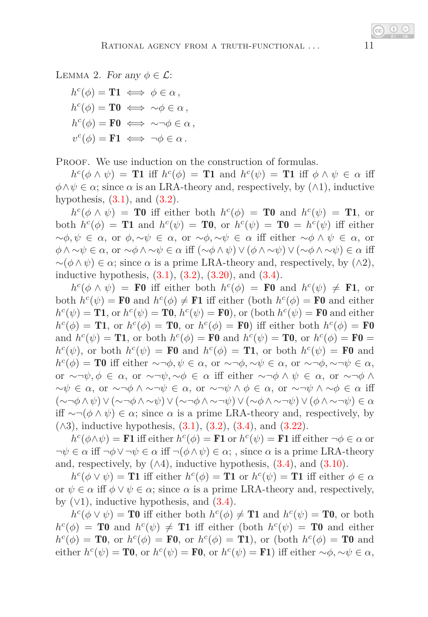LEMMA 2. For any  $\phi \in \mathcal{L}$ :

 $h^c(\phi) = \mathbf{T1} \iff \phi \in \alpha,$  $h^c(\phi) = \mathbf{T0} \iff \sim \phi \in \alpha$ ,  $h^c(\phi) = \mathbf{F0} \iff \sim \neg \phi \in \alpha$ ,  $v^c(\phi) = \mathbf{F1} \iff \neg \phi \in \alpha$ .

PROOF. We use induction on the construction of formulas.

 $h^c(\phi \wedge \psi) =$  **T1** iff  $h^c(\phi) =$  **T1** and  $h^c(\psi) =$  **T1** iff  $\phi \wedge \psi \in \alpha$  iff  $\phi \land \psi \in \alpha$ ; since  $\alpha$  is an LRA-theory and, respectively, by  $(\land 1)$ , inductive hypothesis,  $(3.1)$ , and  $(3.2)$ .

 $h^c(\phi \wedge \psi)$  = **T0** iff either both  $h^c(\phi)$  = **T0** and  $h^c(\psi)$  = **T1**, or both  $h^c(\phi) = \textbf{T1}$  and  $h^c(\psi) = \textbf{T0}$ , or  $h^c(\psi) = \textbf{T0} = h^c(\psi)$  iff either ∼*φ, ψ* ∈ *α*, or *φ,* ∼*ψ* ∈ *α*, or ∼*φ,* ∼*ψ* ∈ *α* iff either ∼*φ* ∧ *ψ* ∈ *α*, or *φ* ∧ ∼*ψ* ∈ *α*, or ∼*φ* ∧ ∼*ψ* ∈ *α* iff (∼*φ* ∧ *ψ*) ∨(*φ* ∧ ∼*ψ*) ∨(∼*φ* ∧ ∼*ψ*) ∈ *α* iff  $\sim(\phi \wedge \psi) \in \alpha$ ; since  $\alpha$  is a prime LRA-theory and, respectively, by  $(\wedge 2)$ , inductive hypothesis,  $(3.1)$ ,  $(3.2)$ ,  $(3.20)$ , and  $(3.4)$ .

 $h^c(\phi \wedge \psi)$  = F0 iff either both  $h^c(\phi)$  = F0 and  $h^c(\psi) \neq$  F1, or both  $h^c(\psi) = \mathbf{F0}$  and  $h^c(\phi) \neq \mathbf{F1}$  iff either (both  $h^c(\phi) = \mathbf{F0}$  and either  $h^c(\psi) = \mathbf{T1}$ , or  $h^c(\psi) = \mathbf{T0}$ ,  $h^c(\psi) = \mathbf{F0}$ ), or (both  $h^c(\psi) = \mathbf{F0}$  and either  $h^c(\phi) = \mathbf{T1}$ , or  $h^c(\phi) = \mathbf{T0}$ , or  $h^c(\phi) = \mathbf{F0}$ ) iff either both  $h^c(\phi) = \mathbf{F0}$ and  $h^c(\psi) = \mathbf{T1}$ , or both  $h^c(\phi) = \mathbf{F0}$  and  $h^c(\psi) = \mathbf{T0}$ , or  $h^c(\phi) = \mathbf{F0} =$  $h^c(\psi)$ , or both  $h^c(\psi) = \mathbf{F0}$  and  $h^c(\phi) = \mathbf{T1}$ , or both  $h^c(\psi) = \mathbf{F0}$  and  $h^c(\phi) = \mathbf{T0}$  iff either  $\sim \neg \phi, \psi \in \alpha$ , or  $\sim \neg \phi, \sim \psi \in \alpha$ , or  $\sim \neg \phi, \sim \neg \psi \in \alpha$ , or  $\sim \neg \psi, \phi \in \alpha$ , or  $\sim \neg \psi, \sim \phi \in \alpha$  iff either  $\sim \neg \phi \wedge \psi \in \alpha$ , or  $\sim \neg \phi \wedge \phi$ ∼*ψ* ∈ *α*, or ∼¬*φ* ∧ ∼¬*ψ* ∈ *α*, or ∼¬*ψ* ∧ *φ* ∈ *α*, or ∼¬*ψ* ∧ ∼*φ* ∈ *α* iff (∼¬*φ*∧*ψ*)∨(∼¬*φ*∧ ∼*ψ*)∨(∼¬*φ*∧ ∼¬*ψ*)∨(∼*φ*∧ ∼¬*ψ*)∨(*φ*∧ ∼¬*ψ*) ∈ *α* iff ∼¬(*φ* ∧ *ψ*) ∈ *α*; since *α* is a prime LRA-theory and, respectively, by  $(\wedge 3)$ , inductive hypothesis,  $(3.1)$ ,  $(3.2)$ ,  $(3.4)$ , and  $(3.22)$ .

 $h^c(\phi \wedge \psi) = \textbf{F1}$  iff either  $h^c(\phi) = \textbf{F1}$  or  $h^c(\psi) = \textbf{F1}$  iff either  $\neg \phi \in \alpha$  or  $\neg \psi \in \alpha$  iff  $\neg \phi \vee \neg \psi \in \alpha$  iff  $\neg (\phi \wedge \psi) \in \alpha$ ; , since  $\alpha$  is a prime LRA-theory and, respectively, by  $(\wedge 4)$ , inductive hypothesis,  $(3.4)$ , and  $(3.10)$ .

 $h^c(\phi \vee \psi) =$  **T1** iff either  $h^c(\phi) =$  **T1** or  $h^c(\psi) =$  **T1** iff either  $\phi \in \alpha$ or  $\psi \in \alpha$  iff  $\phi \vee \psi \in \alpha$ ; since  $\alpha$  is a prime LRA-theory and, respectively, by  $(\vee 1)$ , inductive hypothesis, and  $(3.4)$ .

 $h^c(\phi \vee \psi) = \textbf{T0}$  iff either both  $h^c(\phi) \neq \textbf{T1}$  and  $h^c(\psi) = \textbf{T0}$ , or both  $h^c(\phi) = \mathbf{T0}$  and  $h^c(\psi) \neq \mathbf{T1}$  iff either (both  $h^c(\psi) = \mathbf{T0}$  and either  $h^c(\phi) = \mathbf{T0}$ , or  $h^c(\phi) = \mathbf{F0}$ , or  $h^c(\phi) = \mathbf{T1}$ ), or (both  $h^c(\phi) = \mathbf{T0}$  and either  $h^c(\psi) = \mathbf{T0}$ , or  $h^c(\psi) = \mathbf{F0}$ , or  $h^c(\psi) = \mathbf{F1}$ ) iff either  $\sim \phi$ ,  $\sim \psi \in \alpha$ ,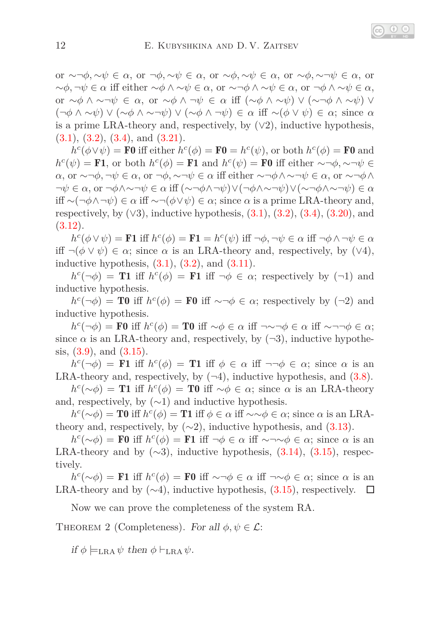or ∼¬*φ,* ∼*ψ* ∈ *α*, or ¬*φ,* ∼*ψ* ∈ *α*, or ∼*φ,* ∼*ψ* ∈ *α*, or ∼*φ,* ∼¬*ψ* ∈ *α*, or ∼*φ,* ¬*ψ* ∈ *α* iff either ∼*φ* ∧ ∼*ψ* ∈ *α*, or ∼¬*φ* ∧ ∼*ψ* ∈ *α*, or ¬*φ* ∧ ∼*ψ* ∈ *α*, or ∼*φ* ∧ ∼¬*ψ* ∈ *α*, or ∼*φ* ∧ ¬*ψ* ∈ *α* iff (∼*φ* ∧ ∼*ψ*) ∨ (∼¬*φ* ∧ ∼*ψ*) ∨ (¬*φ* ∧ ∼*ψ*) ∨ (∼*φ* ∧ ∼¬*ψ*) ∨ (∼*φ* ∧ ¬*ψ*) ∈ *α* iff ∼(*φ* ∨ *ψ*) ∈ *α*; since *α* is a prime LRA-theory and, respectively, by  $(\vee 2)$ , inductive hypothesis,  $(3.1), (3.2), (3.4), \text{ and } (3.21).$  $(3.1), (3.2), (3.4), \text{ and } (3.21).$  $(3.1), (3.2), (3.4), \text{ and } (3.21).$  $(3.1), (3.2), (3.4), \text{ and } (3.21).$  $(3.1), (3.2), (3.4), \text{ and } (3.21).$  $(3.1), (3.2), (3.4), \text{ and } (3.21).$  $(3.1), (3.2), (3.4), \text{ and } (3.21).$  $(3.1), (3.2), (3.4), \text{ and } (3.21).$ 

 $h^c(\phi \vee \psi) = \mathbf{F0}$  iff either  $h^c(\phi) = \mathbf{F0} = h^c(\psi)$ , or both  $h^c(\phi) = \mathbf{F0}$  and  $h^c(\psi) = \mathbf{F1}$ , or both  $h^c(\phi) = \mathbf{F1}$  and  $h^c(\psi) = \mathbf{F0}$  iff either ~¬ $\phi$ , ~¬ $\psi \in \mathbf{F1}$ *α*, or ∼¬*φ*, ¬*ψ* ∈ *α*, or ¬*φ*, ∼¬*ψ* ∈ *α* iff either ∼¬*φ*∧∼¬*ψ* ∈ *α*, or ∼¬*φ*∧ ¬*ψ* ∈ *α*, or ¬*φ*∧∼¬*ψ* ∈ *α* iff (∼¬*φ*∧¬*ψ*)∨(¬*φ*∧∼¬*ψ*)∨(∼¬*φ*∧∼¬*ψ*) ∈ *α* iff ∼(¬*φ*∧¬*ψ*) ∈ *α* iff ∼¬(*φ*∨*ψ*) ∈ *α*; since *α* is a prime LRA-theory and, respectively, by  $(\sqrt{3})$ , inductive hypothesis,  $(3.1)$ ,  $(3.2)$ ,  $(3.4)$ ,  $(3.20)$ , and [\(3.12\)](#page-7-17).

 $h^c(\phi \vee \psi) = \textbf{F1}$  iff  $h^c(\phi) = \textbf{F1} = h^c(\psi)$  iff  $\neg \phi, \neg \psi \in \alpha$  iff  $\neg \phi \wedge \neg \psi \in \alpha$ iff  $\neg(\phi \lor \psi) \in \alpha$ ; since  $\alpha$  is an LRA-theory and, respectively, by ( $\lor 4$ ), inductive hypothesis,  $(3.1)$ ,  $(3.2)$ , and  $(3.11)$ .

 $h^c(\neg \phi) =$  **T1** iff  $h^c(\phi) =$  **F1** iff  $\neg \phi \in \alpha$ ; respectively by  $(\neg 1)$  and inductive hypothesis.

 $h^c(\neg \phi) = \textbf{T0}$  iff  $h^c(\phi) = \textbf{F0}$  iff  $\sim \neg \phi \in \alpha$ ; respectively by (¬2) and inductive hypothesis.

 $h^c(\neg \phi)$  = **F0** iff  $h^c(\phi)$  = **T0** iff  $\sim \phi \in \alpha$  iff  $\neg \sim \neg \phi \in \alpha$  iff  $\sim \neg \neg \phi \in \alpha$ ; since  $\alpha$  is an LRA-theory and, respectively, by  $(\neg 3)$ , inductive hypothesis,  $(3.9)$ , and  $(3.15)$ .

 $h^c(\neg \phi) = \mathbf{F1}$  iff  $h^c(\phi) = \mathbf{T1}$  iff  $\phi \in \alpha$  iff  $\neg \neg \phi \in \alpha$ ; since  $\alpha$  is an LRA-theory and, respectively, by  $(\neg 4)$ , inductive hypothesis, and  $(3.8)$ .

 $h^c(\sim \phi)$  = **T1** iff  $h^c(\phi)$  = **T0** iff  $\sim \phi \in \alpha$ ; since  $\alpha$  is an LRA-theory and, respectively, by  $(\sim 1)$  and inductive hypothesis.

 $h^c(\sim \phi) = \textbf{T0}$  iff  $h^c(\phi) = \textbf{T1}$  iff  $\phi \in \alpha$  iff  $\sim \sim \phi \in \alpha$ ; since  $\alpha$  is an LRAtheory and, respectively, by  $(\sim 2)$ , inductive hypothesis, and  $(3.13)$ .

 $h^c(\sim \phi)$  = **F0** iff  $h^c(\phi)$  = **F1** iff ¬ $\phi \in \alpha$  iff ~¬∼ $\phi \in \alpha$ ; since  $\alpha$  is an LRA-theory and by  $(\sim 3)$ , inductive hypothesis,  $(3.14)$ ,  $(3.15)$ , respectively.

 $h^c(\sim \phi)$  = F1 iff  $h^c(\phi)$  = F0 iff  $\sim \neg \phi \in \alpha$  iff  $\neg \sim \phi \in \alpha$ ; since  $\alpha$  is an LRA-theory and by  $(\sim 4)$ , inductive hypothesis,  $(3.15)$ , respectively.  $\Box$ 

Now we can prove the completeness of the system RA.

THEOREM 2 (Completeness). For all  $\phi, \psi \in \mathcal{L}$ :

if  $\phi \models_{\text{LRA}} \psi$  then  $\phi \vdash_{\text{LRA}} \psi$ .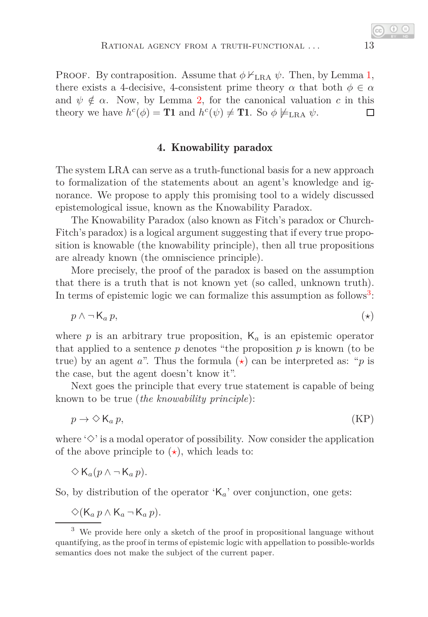PROOF. By contraposition. Assume that  $\phi \nvdash_{\text{LRA}} \psi$ . Then, by Lemma [1,](#page-9-0) there exists a 4-decisive, 4-consistent prime theory  $\alpha$  that both  $\phi \in \alpha$ and  $\psi \notin \alpha$ . Now, by Lemma [2,](#page-9-1) for the canonical valuation c in this theory we have  $h^c(\phi) = \textbf{T1}$  and  $h^c(\psi) \neq \textbf{T1}$ . So  $\phi \not\models_{\text{LRA}} \psi$ . □

### <span id="page-12-1"></span>4. Knowability paradox

The system LRA can serve as a truth-functional basis for a new approach to formalization of the statements about an agent's knowledge and ignorance. We propose to apply this promising tool to a widely discussed epistemological issue, known as the Knowability Paradox.

The Knowability Paradox (also known as Fitch's paradox or Church-Fitch's paradox) is a logical argument suggesting that if every true proposition is knowable (the knowability principle), then all true propositions are already known (the omniscience principle).

More precisely, the proof of the paradox is based on the assumption that there is a truth that is not known yet (so called, unknown truth). In terms of epistemic logic we can formalize this assumption as follows<sup>[3](#page-12-0)</sup>:

$$
p \wedge \neg \mathsf{K}_a \, p,\tag{$\star$}
$$

where  $p$  is an arbitrary true proposition,  $K_a$  is an epistemic operator that applied to a sentence *p* denotes "the proposition *p* is known (to be true) by an agent *a*". Thus the formula  $(\star)$  can be interpreted as: "*p* is the case, but the agent doesn't know it".

Next goes the principle that every true statement is capable of being known to be true (*the knowability principle*):

<span id="page-12-2"></span>
$$
p \to \Diamond \mathsf{K}_a \, p,\tag{KP}
$$

where  $\Diamond$  is a modal operator of possibility. Now consider the application of the above principle to  $(\star)$ , which leads to:

 $\diamondsuit$  K<sub>*a*</sub>( $p$  ∧ ¬ K<sub>*a*</sub> $p$ ).

So, by distribution of the operator 'K*a*' over conjunction, one gets:

$$
\diamondsuit(K_a p \wedge K_a \neg K_a p).
$$

<span id="page-12-0"></span><sup>&</sup>lt;sup>3</sup> We provide here only a sketch of the proof in propositional language without quantifying, as the proof in terms of epistemic logic with appellation to possible-worlds semantics does not make the subject of the current paper.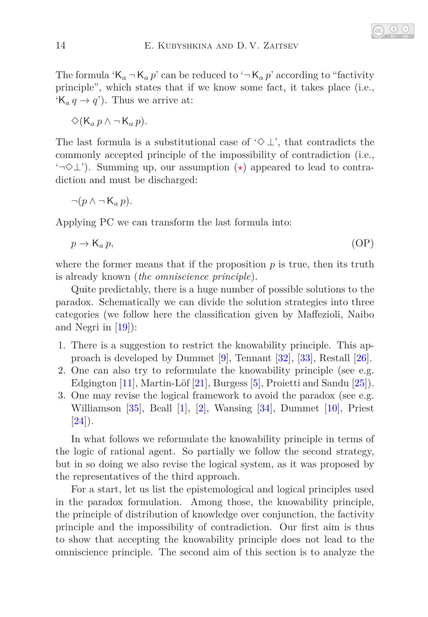The formula ' $K_a - K_a p$ ' can be reduced to ' $-K_a p$ ' according to "factivity" principle", which states that if we know some fact, it takes place (i.e.,  $(K_a q \rightarrow q')$ . Thus we arrive at:

 $\diamondsuit(K_a p \land \neg K_a p)$ .

The last formula is a substitutional case of ' $\diamond \perp$ ', that contradicts the commonly accepted principle of the impossibility of contradiction (i.e., '¬✸⊥'). Summing up, our assumption (*[⋆](#page-12-1)*) appeared to lead to contradiction and must be discharged:

$$
\neg (p \land \neg K_a p).
$$

Applying PC we can transform the last formula into:

$$
p \to \mathsf{K}_a \, p,\tag{OP}
$$

where the former means that if the proposition  $p$  is true, then its truth is already known (*the omniscience principle*).

Quite predictably, there is a huge number of possible solutions to the paradox. Schematically we can divide the solution strategies into three categories (we follow here the classification given by Maffezioli, Naibo and Negri in [\[19\]](#page-19-4)):

- 1. There is a suggestion to restrict the knowability principle. This approach is developed by Dummet [\[9\]](#page-19-5), Tennant [\[32\]](#page-20-6), [\[33\]](#page-20-7), Restall [\[26\]](#page-20-8).
- 2. One can also try to reformulate the knowability principle (see e.g. Edgington [\[11\]](#page-19-6), Martin-Löf [\[21\]](#page-19-7), Burgess [\[5\]](#page-19-8), Proietti and Sandu [\[25\]](#page-20-9)).
- 3. One may revise the logical framework to avoid the paradox (see e.g. Williamson [\[35\]](#page-20-10), Beall [\[1\]](#page-18-2), [\[2\]](#page-18-3), Wansing [\[34\]](#page-20-11), Dummet [\[10\]](#page-19-9), Priest  $|24|$ ).

In what follows we reformulate the knowability principle in terms of the logic of rational agent. So partially we follow the second strategy, but in so doing we also revise the logical system, as it was proposed by the representatives of the third approach.

For a start, let us list the epistemological and logical principles used in the paradox formulation. Among those, the knowability principle, the principle of distribution of knowledge over conjunction, the factivity principle and the impossibility of contradiction. Our first aim is thus to show that accepting the knowability principle does not lead to the omniscience principle. The second aim of this section is to analyze the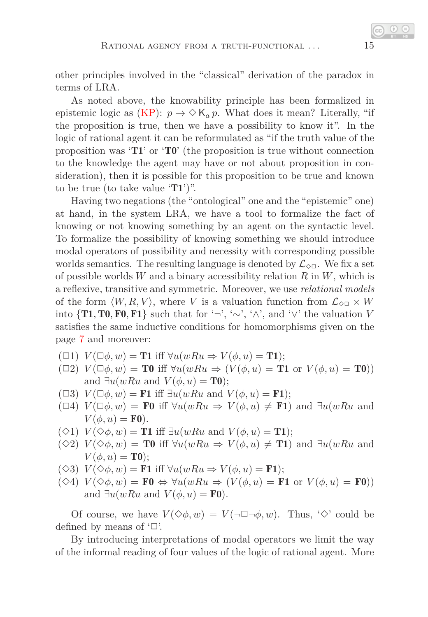other principles involved in the "classical" derivation of the paradox in terms of LRA.

As noted above, the knowability principle has been formalized in epistemic logic as  $(KP)$ :  $p \to \Diamond K_a p$ . What does it mean? Literally, "if the proposition is true, then we have a possibility to know it". In the logic of rational agent it can be reformulated as "if the truth value of the proposition was 'T1' or 'T0' (the proposition is true without connection to the knowledge the agent may have or not about proposition in consideration), then it is possible for this proposition to be true and known to be true (to take value  $T1$ )".

Having two negations (the "ontological" one and the "epistemic" one) at hand, in the system LRA, we have a tool to formalize the fact of knowing or not knowing something by an agent on the syntactic level. To formalize the possibility of knowing something we should introduce modal operators of possibility and necessity with corresponding possible worlds semantics. The resulting language is denoted by  $\mathcal{L}_{\infty}$ . We fix a set of possible worlds *W* and a binary accessibility relation *R* in *W*, which is a reflexive, transitive and symmetric. Moreover, we use *relational models* of the form  $\langle W, R, V \rangle$ , where *V* is a valuation function from  $\mathcal{L}_{\Diamond \Box} \times W$ into  $\{T1, T0, F0, F1\}$  such that for '¬', ' $\sim$ ', ' $\wedge$ ', and ' $\vee$ ' the valuation *V* satisfies the same inductive conditions for homomorphisms given on the page [7](#page-3-0) and moreover:

- $(\Box 1) \ V(\Box \phi, w) = \mathbf{T1}$  iff  $\forall u(wRu \Rightarrow V(\phi, u) = \mathbf{T1});$
- $(\Box 2) V(\Box \phi, w) = \textbf{T0}$  iff  $\forall u(wRu \Rightarrow (V(\phi, u) = \textbf{T1} \text{ or } V(\phi, u) = \textbf{T0}))$ and  $\exists u(wRu \text{ and } V(\phi, u) = \textbf{T0});$
- $(\Box 3)$   $V(\Box \phi, w) = \mathbf{F1}$  iff  $\exists u(wRu \text{ and } V(\phi, u) = \mathbf{F1})$ ;
- $(\Box 4)$   $V(\Box \phi, w) = \mathbf{F0}$  iff  $\forall u(wRu \Rightarrow V(\phi, u) \neq \mathbf{F1})$  and  $\exists u(wRu \text{ and } wRu)$  $V(\phi, u) = \mathbf{F0}$ ).
- $(\diamondsuit 1)$   $V(\diamondsuit \phi, w) =$  **T1** iff  $\exists u(wRu \text{ and } V(\phi, u) =$  **T1**);
- $(\Diamond 2)$   $V(\Diamond \phi, w) = \textbf{T0}$  iff  $\forall u(wRu \Rightarrow V(\phi, u) \neq \textbf{T1})$  and  $\exists u(wRu \text{ and } w$  $V(\phi, u) = \mathbf{T0}$ ;
- $(\Diamond 3) \ V(\Diamond \phi, w) = \mathbf{F1}$  iff  $\forall u(wRu \Rightarrow V(\phi, u) = \mathbf{F1})$ ;
- $(\Diamond 4) \ V(\Diamond \phi, w) = \mathbf{F0} \Leftrightarrow \forall u(wRu \Rightarrow (V(\phi, u) = \mathbf{F1} \text{ or } V(\phi, u) = \mathbf{F0}))$ and  $\exists u(wRu \text{ and } V(\phi, u) = \mathbf{F0}).$

Of course, we have  $V(\Diamond \phi, w) = V(\neg \Box \neg \phi, w)$ . Thus,  $\Diamond$  could be defined by means of  $\lq \Box$ .

By introducing interpretations of modal operators we limit the way of the informal reading of four values of the logic of rational agent. More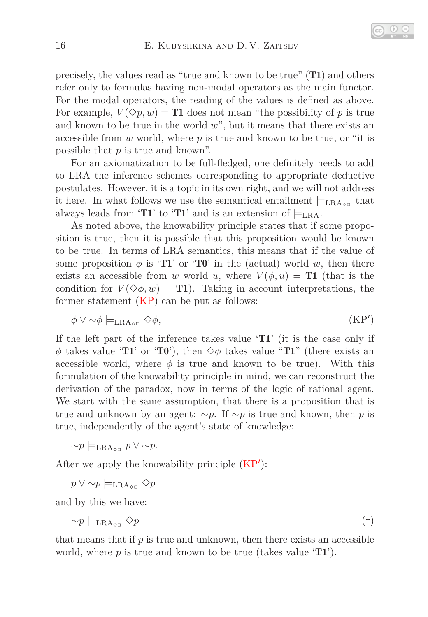precisely, the values read as "true and known to be true" (T1) and others refer only to formulas having non-modal operators as the main functor. For the modal operators, the reading of the values is defined as above. For example,  $V(\Diamond p, w) =$ **T1** does not mean "the possibility of p is true and known to be true in the world  $w$ ", but it means that there exists an accessible from *w* world, where *p* is true and known to be true, or "it is possible that *p* is true and known".

For an axiomatization to be full-fledged, one definitely needs to add to LRA the inference schemes corresponding to appropriate deductive postulates. However, it is a topic in its own right, and we will not address it here. In what follows we use the semantical entailment  $\models_{\text{LRA}_{\text{on}}}$  that always leads from 'T1' to 'T1' and is an extension of  $\models_{\text{LRA}}$ .

As noted above, the knowability principle states that if some proposition is true, then it is possible that this proposition would be known to be true. In terms of LRA semantics, this means that if the value of some proposition  $\phi$  is 'T1' or 'T0' in the (actual) world *w*, then there exists an accessible from *w* world *u*, where  $V(\phi, u) = \textbf{T1}$  (that is the condition for  $V(\Diamond \phi, w) = \mathbf{T}1$ . Taking in account interpretations, the former statement [\(KP\)](#page-12-2) can be put as follows:

<span id="page-15-0"></span>
$$
\phi \vee \sim \phi \models_{\text{LRA}_{\Diamond \Box}} \Diamond \phi, \tag{KP'}
$$

If the left part of the inference takes value 'T1' (it is the case only if  $\phi$  takes value 'T1' or 'T0'), then  $\diamond$  φ takes value "T1" (there exists an accessible world, where  $\phi$  is true and known to be true). With this formulation of the knowability principle in mind, we can reconstruct the derivation of the paradox, now in terms of the logic of rational agent. We start with the same assumption, that there is a proposition that is true and unknown by an agent: ∼*p*. If ∼*p* is true and known, then *p* is true, independently of the agent's state of knowledge:

$$
\sim p \models_{\text{LRA}_{\diamond\Box}} p \lor \sim p.
$$

After we apply the knowability principle  $(KP')$  $(KP')$ :

*p* ∨ ∼*p*  $\models$ <sub>LRA</sub>  $\Diamond$ *p* 

and by this we have:

$$
\sim p \models_{\text{LRA}_{\text{OD}}} \Diamond p \tag{†}
$$

that means that if *p* is true and unknown, then there exists an accessible world, where *p* is true and known to be true (takes value 'T1').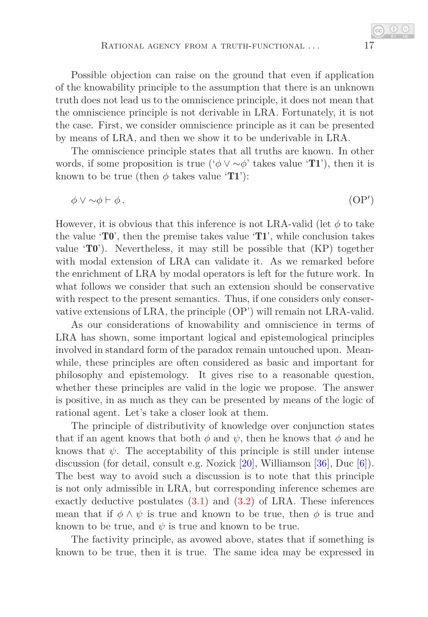Possible objection can raise on the ground that even if application of the knowability principle to the assumption that there is an unknown truth does not lead us to the omniscience principle, it does not mean that the omniscience principle is not derivable in LRA. Fortunately, it is not the case. First, we consider omniscience principle as it can be presented by means of LRA, and then we show it to be underivable in LRA.

The omniscience principle states that all truths are known. In other words, if some proposition is true ( $\phi \vee \neg \phi'$  takes value 'T1'), then it is known to be true (then  $\phi$  takes value 'T1'):

$$
\phi \lor \sim \phi \vdash \phi \tag{OP'}
$$

However, it is obvious that this inference is not LRA-valid (let  $\phi$  to take the value  $\mathbf{T0}'$ , then the premise takes value  $\mathbf{T1}'$ , while conclusion takes value  $\mathbf{T0'}$ . Nevertheless, it may still be possible that  $(KP)$  together with modal extension of LRA can validate it. As we remarked before the enrichment of LRA by modal operators is left for the future work. In what follows we consider that such an extension should be conservative with respect to the present semantics. Thus, if one considers only conservative extensions of LRA, the principle (OP') will remain not LRA-valid.

As our considerations of knowability and omniscience in terms of LRA has shown, some important logical and epistemological principles involved in standard form of the paradox remain untouched upon. Meanwhile, these principles are often considered as basic and important for philosophy and epistemology. It gives rise to a reasonable question, whether these principles are valid in the logic we propose. The answer is positive, in as much as they can be presented by means of the logic of rational agent. Let's take a closer look at them.

The principle of distributivity of knowledge over conjunction states that if an agent knows that both  $\phi$  and  $\psi$ , then he knows that  $\phi$  and he knows that  $\psi$ . The acceptability of this principle is still under intense discussion (for detail, consult e.g. Nozick [\[20\]](#page-19-10), Williamson [\[36\]](#page-20-13), Duc [\[6\]](#page-19-11)). The best way to avoid such a discussion is to note that this principle is not only admissible in LRA, but corresponding inference schemes are exactly deductive postulates [\(3.1\)](#page-7-6) and [\(3.2\)](#page-7-9) of LRA. These inferences mean that if  $\phi \wedge \psi$  is true and known to be true, then  $\phi$  is true and known to be true, and  $\psi$  is true and known to be true.

The factivity principle, as avowed above, states that if something is known to be true, then it is true. The same idea may be expressed in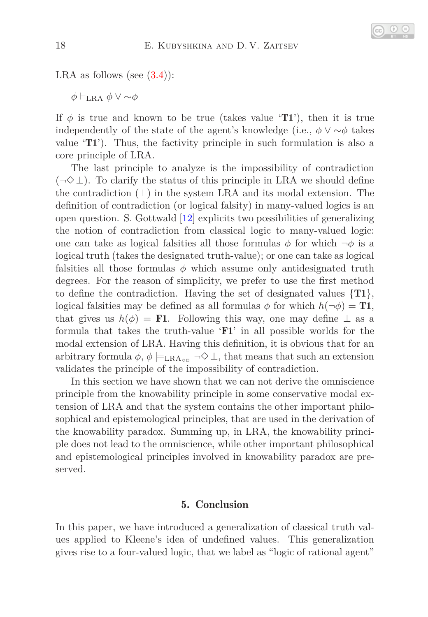

LRA as follows (see  $(3.4)$ ):

*φ* ⊢LRA *φ* ∨ ∼*φ*

If  $\phi$  is true and known to be true (takes value 'T1'), then it is true independently of the state of the agent's knowledge (i.e.,  $\phi \vee \sim \phi$  takes value 'T1'). Thus, the factivity principle in such formulation is also a core principle of LRA.

The last principle to analyze is the impossibility of contradiction  $(\neg \Diamond \bot)$ . To clarify the status of this principle in LRA we should define the contradiction  $(\perp)$  in the system LRA and its modal extension. The definition of contradiction (or logical falsity) in many-valued logics is an open question. S. Gottwald [\[12\]](#page-19-12) explicits two possibilities of generalizing the notion of contradiction from classical logic to many-valued logic: one can take as logical falsities all those formulas  $\phi$  for which  $\neg \phi$  is a logical truth (takes the designated truth-value); or one can take as logical falsities all those formulas  $\phi$  which assume only antidesignated truth degrees. For the reason of simplicity, we prefer to use the first method to define the contradiction. Having the set of designated values  $\{T1\}$ , logical falsities may be defined as all formulas  $\phi$  for which  $h(\neg \phi) = \mathbf{T1}$ , that gives us  $h(\phi) = \mathbf{F1}$ . Following this way, one may define  $\perp$  as a formula that takes the truth-value 'F1' in all possible worlds for the modal extension of LRA. Having this definition, it is obvious that for an arbitrary formula  $\phi$ ,  $\phi \models_{\text{LRA}_{\Diamond \Box}} \neg \Diamond \bot$ , that means that such an extension validates the principle of the impossibility of contradiction.

In this section we have shown that we can not derive the omniscience principle from the knowability principle in some conservative modal extension of LRA and that the system contains the other important philosophical and epistemological principles, that are used in the derivation of the knowability paradox. Summing up, in LRA, the knowability principle does not lead to the omniscience, while other important philosophical and epistemological principles involved in knowability paradox are preserved.

### 5. Conclusion

In this paper, we have introduced a generalization of classical truth values applied to Kleene's idea of undefined values. This generalization gives rise to a four-valued logic, that we label as "logic of rational agent"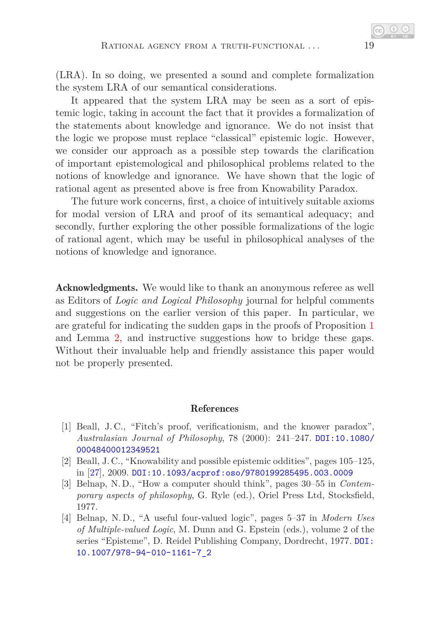(LRA). In so doing, we presented a sound and complete formalization the system LRA of our semantical considerations.

It appeared that the system LRA may be seen as a sort of epistemic logic, taking in account the fact that it provides a formalization of the statements about knowledge and ignorance. We do not insist that the logic we propose must replace "classical" epistemic logic. However, we consider our approach as a possible step towards the clarification of important epistemological and philosophical problems related to the notions of knowledge and ignorance. We have shown that the logic of rational agent as presented above is free from Knowability Paradox.

The future work concerns, first, a choice of intuitively suitable axioms for modal version of LRA and proof of its semantical adequacy; and secondly, further exploring the other possible formalizations of the logic of rational agent, which may be useful in philosophical analyses of the notions of knowledge and ignorance.

Acknowledgments. We would like to thank an anonymous referee as well as Editors of *Logic and Logical Philosophy* journal for helpful comments and suggestions on the earlier version of this paper. In particular, we are grateful for indicating the sudden gaps in the proofs of Proposition [1](#page-8-3) and Lemma [2,](#page-9-1) and instructive suggestions how to bridge these gaps. Without their invaluable help and friendly assistance this paper would not be properly presented.

#### References

- <span id="page-18-2"></span>[1] Beall, J. C., "Fitch's proof, verificationism, and the knower paradox", *Australasian Journal of Philosophy*, 78 (2000): 241–247. [DOI:10.1080/](http://dx.doi.org/10.1080/00048400012349521) [00048400012349521](http://dx.doi.org/10.1080/00048400012349521)
- <span id="page-18-3"></span>[2] Beall, J. C., "Knowability and possible epistemic oddities", pages 105–125, in [\[27\]](#page-20-14), 2009. [DOI:10.1093/acprof:oso/9780199285495.003.0009](http://dx.doi.org/10.1093/acprof:oso/9780199285495.003.0009)
- <span id="page-18-0"></span>[3] Belnap, N. D., "How a computer should think", pages 30–55 in *Contemporary aspects of philosophy*, G. Ryle (ed.), Oriel Press Ltd, Stocksfield, 1977.
- <span id="page-18-1"></span>[4] Belnap, N. D., "A useful four-valued logic", pages 5–37 in *Modern Uses of Multiple-valued Logic*, M. Dunn and G. Epstein (eds.), volume 2 of the series "Episteme", D. Reidel Publishing Company, Dordrecht, 1977. [DOI:](http://dx.doi.org/10.1007/978-94-010-1161-7_2) [10.1007/978-94-010-1161-7\\_2](http://dx.doi.org/10.1007/978-94-010-1161-7_2)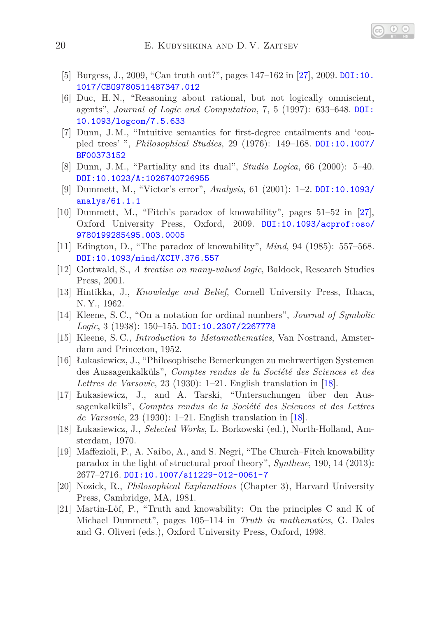- <span id="page-19-11"></span><span id="page-19-8"></span>[5] Burgess, J., 2009, "Can truth out?", pages 147–162 in [\[27\]](#page-20-14), 2009. [DOI:10.](http://dx.doi.org/10.1017/CBO9780511487347.012) [1017/CBO9780511487347.012](http://dx.doi.org/10.1017/CBO9780511487347.012)
- [6] Duc, H. N., "Reasoning about rational, but not logically omniscient, agents", *Journal of Logic and Computation*, 7, 5 (1997): 633–648. [DOI:](http://dx.doi.org/10.1093/logcom/7.5.633) [10.1093/logcom/7.5.633](http://dx.doi.org/10.1093/logcom/7.5.633)
- <span id="page-19-1"></span>[7] Dunn, J. M., "Intuitive semantics for first-degree entailments and 'coupled trees' ", *Philosophical Studies*, 29 (1976): 149–168. [DOI:10.1007/](http://dx.doi.org/10.1007/BF00373152) [BF00373152](http://dx.doi.org/10.1007/BF00373152)
- <span id="page-19-5"></span><span id="page-19-3"></span>[8] Dunn, J. M., "Partiality and its dual", *Studia Logica*, 66 (2000): 5–40. [DOI:10.1023/A:1026740726955](http://dx.doi.org/10.1023/A:1026740726955)
- [9] Dummett, M., "Victor's error", *Analysis*, 61 (2001): 1–2. [DOI:10.1093/](http://dx.doi.org/10.1093/analys/61.1.1) [analys/61.1.1](http://dx.doi.org/10.1093/analys/61.1.1)
- <span id="page-19-9"></span>[10] Dummett, M., "Fitch's paradox of knowability", pages 51–52 in [\[27\]](#page-20-14), Oxford University Press, Oxford, 2009. [DOI:10.1093/acprof:oso/](http://dx.doi.org/10.1093/acprof:oso/9780199285495.003.0005) [9780199285495.003.0005](http://dx.doi.org/10.1093/acprof:oso/9780199285495.003.0005)
- <span id="page-19-12"></span><span id="page-19-6"></span>[11] Edington, D., "The paradox of knowability", *Mind*, 94 (1985): 557–568. [DOI:10.1093/mind/XCIV.376.557](http://dx.doi.org/10.1093/mind/XCIV.376.557)
- <span id="page-19-0"></span>[12] Gottwald, S., *A treatise on many-valued logic*, Baldock, Research Studies Press, 2001.
- [13] Hintikka, J., *Knowledge and Belief*, Cornell University Press, Ithaca, N. Y., 1962.
- [14] Kleene, S. C., "On a notation for ordinal numbers", *Journal of Symbolic Logic*, 3 (1938): 150–155. [DOI:10.2307/2267778](http://dx.doi.org/10.2307/2267778)
- <span id="page-19-2"></span>[15] Kleene, S. C., *Introduction to Metamathematics*, Van Nostrand, Amsterdam and Princeton, 1952.
- [16] Łukasiewicz, J., "Philosophische Bemerkungen zu mehrwertigen Systemen des Aussagenkalküls", *Comptes rendus de la Société des Sciences et des Lettres de Varsovie*, 23 (1930): 1–21. English translation in [\[18\]](#page-19-13).
- [17] Łukasiewicz, J., and A. Tarski, "Untersuchungen über den Aussagenkalküls", *Comptes rendus de la Société des Sciences et des Lettres de Varsovie*, 23 (1930): 1–21. English translation in [\[18\]](#page-19-13).
- <span id="page-19-13"></span>[18] Łukasiewicz, J., *Selected Works*, L. Borkowski (ed.), North-Holland, Amsterdam, 1970.
- <span id="page-19-4"></span>[19] Maffezioli, P., A. Naibo, A., and S. Negri, "The Church–Fitch knowability paradox in the light of structural proof theory", *Synthese*, 190, 14 (2013): 2677–2716. [DOI:10.1007/s11229-012-0061-7](http://dx.doi.org/10.1007/s11229-012-0061-7)
- <span id="page-19-10"></span>[20] Nozick, R., *Philosophical Explanations* (Chapter 3), Harvard University Press, Cambridge, MA, 1981.
- <span id="page-19-7"></span>[21] Martin-Löf, P., "Truth and knowability: On the principles C and K of Michael Dummett", pages 105–114 in *Truth in mathematics*, G. Dales and G. Oliveri (eds.), Oxford University Press, Oxford, 1998.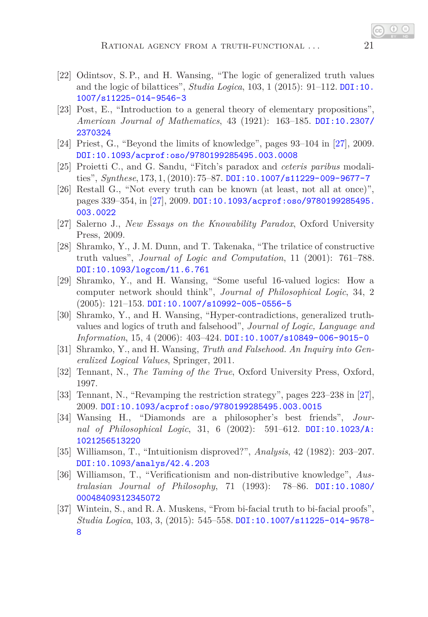- <span id="page-20-4"></span>[22] Odintsov, S. P., and H. Wansing, "The logic of generalized truth values and the logic of bilattices", *Studia Logica*, 103, 1 (2015): 91–112. [DOI:10.](http://dx.doi.org/10.1007/s11225-014-9546-3) [1007/s11225-014-9546-3](http://dx.doi.org/10.1007/s11225-014-9546-3)
- [23] Post, E., "Introduction to a general theory of elementary propositions", *American Journal of Mathematics*, 43 (1921): 163–185. [DOI:10.2307/](http://dx.doi.org/10.2307/2370324) [2370324](http://dx.doi.org/10.2307/2370324)
- <span id="page-20-12"></span><span id="page-20-9"></span>[24] Priest, G., "Beyond the limits of knowledge", pages 93–104 in [\[27\]](#page-20-14), 2009. [DOI:10.1093/acprof:oso/9780199285495.003.0008](http://dx.doi.org/10.1093/acprof:oso/9780199285495.003.0008)
- <span id="page-20-8"></span>[25] Proietti C., and G. Sandu, "Fitch's paradox and *ceteris paribus* modalities", *Synthese*, 173, 1, (2010): 75–87. [DOI:10.1007/s11229-009-9677-7](http://dx.doi.org/10.1007/s11229-009-9677-7)
- [26] Restall G., "Not every truth can be known (at least, not all at once)", pages 339–354, in [\[27\]](#page-20-14), 2009. [DOI:10.1093/acprof:oso/9780199285495.](http://dx.doi.org/10.1093/acprof:oso/9780199285495.003.0022) [003.0022](http://dx.doi.org/10.1093/acprof:oso/9780199285495.003.0022)
- <span id="page-20-14"></span><span id="page-20-0"></span>[27] Salerno J., *New Essays on the Knowability Paradox*, Oxford University Press, 2009.
- [28] Shramko, Y., J. M. Dunn, and T. Takenaka, "The trilatice of constructive truth values", *Journal of Logic and Computation*, 11 (2001): 761–788. [DOI:10.1093/logcom/11.6.761](http://dx.doi.org/10.1093/logcom/11.6.761)
- <span id="page-20-1"></span>[29] Shramko, Y., and H. Wansing, "Some useful 16-valued logics: How a computer network should think", *Journal of Philosophical Logic*, 34, 2  $(2005): 121-153.$  [DOI:10.1007/s10992-005-0556-5](http://dx.doi.org/10.1007/s10992-005-0556-5)
- <span id="page-20-2"></span>[30] Shramko, Y., and H. Wansing, "Hyper-contradictions, generalized truthvalues and logics of truth and falsehood", *Journal of Logic, Language and Information*, 15, 4 (2006): 403–424. [DOI:10.1007/s10849-006-9015-0](http://dx.doi.org/10.1007/s10849-006-9015-0)
- <span id="page-20-3"></span>[31] Shramko, Y., and H. Wansing, *Truth and Falsehood. An Inquiry into Generalized Logical Values*, Springer, 2011.
- <span id="page-20-7"></span><span id="page-20-6"></span>[32] Tennant, N., *The Taming of the True*, Oxford University Press, Oxford, 1997.
- [33] Tennant, N., "Revamping the restriction strategy", pages 223–238 in [\[27\]](#page-20-14), 2009. [DOI:10.1093/acprof:oso/9780199285495.003.0015](http://dx.doi.org/10.1093/acprof:oso/9780199285495.003.0015)
- <span id="page-20-11"></span>[34] Wansing H., "Diamonds are a philosopher's best friends", *Journal of Philosophical Logic*, 31, 6 (2002): 591–612. [DOI:10.1023/A:](http://dx.doi.org/10.1023/A:1021256513220) [1021256513220](http://dx.doi.org/10.1023/A:1021256513220)
- <span id="page-20-10"></span>[35] Williamson, T., "Intuitionism disproved?", *Analysis*, 42 (1982): 203–207. [DOI:10.1093/analys/42.4.203](http://dx.doi.org/10.1093/analys/42.4.203)
- <span id="page-20-13"></span>[36] Williamson, T., "Verificationism and non-distributive knowledge", *Australasian Journal of Philosophy*, 71 (1993): 78–86. [DOI:10.1080/](http://dx.doi.org/10.1080/00048409312345072) [00048409312345072](http://dx.doi.org/10.1080/00048409312345072)
- <span id="page-20-5"></span>[37] Wintein, S., and R. A. Muskens, "From bi-facial truth to bi-facial proofs", *Studia Logica*, 103, 3, (2015): 545–558. [DOI:10.1007/s11225-014-9578-](http://dx.doi.org/10.1007/s11225-014-9578-8) [8](http://dx.doi.org/10.1007/s11225-014-9578-8)